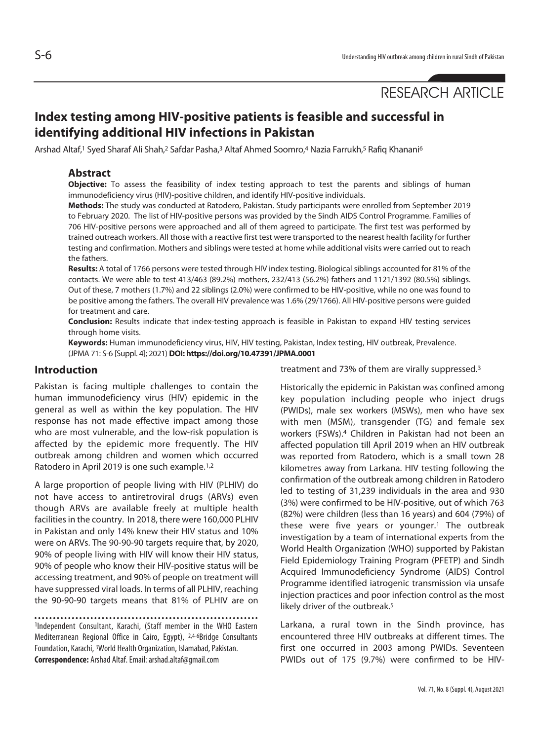# **Index testing among HIV-positive patients is feasible and successful in identifying additional HIV infections in Pakistan**

Arshad Altaf,1 Syed Sharaf Ali Shah,2 Safdar Pasha,3 Altaf Ahmed Soomro,4 Nazia Farrukh,5 Rafiq Khanani6

#### **Abstract**

**Objective:** To assess the feasibility of index testing approach to test the parents and siblings of human immunodeficiency virus (HIV)-positive children, and identify HIV-positive individuals.

**Methods:** The study was conducted at Ratodero, Pakistan. Study participants were enrolled from September 2019 to February 2020. The list of HIV-positive persons was provided by the Sindh AIDS Control Programme. Families of 706 HIV-positive persons were approached and all of them agreed to participate. The first test was performed by trained outreach workers. All those with a reactive first test were transported to the nearest health facility for further testing and confirmation. Mothers and siblings were tested at home while additional visits were carried out to reach the fathers.

**Results:** A total of 1766 persons were tested through HIV index testing. Biological siblings accounted for 81% of the contacts. We were able to test 413/463 (89.2%) mothers, 232/413 (56.2%) fathers and 1121/1392 (80.5%) siblings. Out of these, 7 mothers (1.7%) and 22 siblings (2.0%) were confirmed to be HIV-positive, while no one was found to be positive among the fathers. The overall HIV prevalence was 1.6% (29/1766). All HIV-positive persons were guided for treatment and care.

**Conclusion:** Results indicate that index-testing approach is feasible in Pakistan to expand HIV testing services through home visits.

**Keywords:** Human immunodeficiency virus, HIV, HIV testing, Pakistan, Index testing, HIV outbreak, Prevalence. (JPMA 71: S-6 [Suppl. 4]; 2021) **DOI: https://doi.org/10.47391/JPMA.0001**

#### **Introduction**

Pakistan is facing multiple challenges to contain the human immunodeficiency virus (HIV) epidemic in the general as well as within the key population. The HIV response has not made effective impact among those who are most vulnerable, and the low-risk population is affected by the epidemic more frequently. The HIV outbreak among children and women which occurred Ratodero in April 2019 is one such example.<sup>1,2</sup>

A large proportion of people living with HIV (PLHIV) do not have access to antiretroviral drugs (ARVs) even though ARVs are available freely at multiple health facilities in the country. In 2018, there were 160,000 PLHIV in Pakistan and only 14% knew their HIV status and 10% were on ARVs. The 90-90-90 targets require that, by 2020, 90% of people living with HIV will know their HIV status, 90% of people who know their HIV-positive status will be accessing treatment, and 90% of people on treatment will have suppressed viral loads. In terms of all PLHIV, reaching the 90-90-90 targets means that 81% of PLHIV are on

1Independent Consultant, Karachi, (Staff member in the WHO Eastern Mediterranean Regional Office in Cairo, Egypt), 2,4-6Bridge Consultants Foundation, Karachi, 3World Health Organization, Islamabad, Pakistan. **Correspondence:** Arshad Altaf. Email: arshad.altaf@gmail.com

treatment and 73% of them are virally suppressed.3

Historically the epidemic in Pakistan was confined among key population including people who inject drugs (PWIDs), male sex workers (MSWs), men who have sex with men (MSM), transgender (TG) and female sex workers (FSWs).4 Children in Pakistan had not been an affected population till April 2019 when an HIV outbreak was reported from Ratodero, which is a small town 28 kilometres away from Larkana. HIV testing following the confirmation of the outbreak among children in Ratodero led to testing of 31,239 individuals in the area and 930 (3%) were confirmed to be HIV-positive, out of which 763 (82%) were children (less than 16 years) and 604 (79%) of these were five years or younger.1 The outbreak investigation by a team of international experts from the World Health Organization (WHO) supported by Pakistan Field Epidemiology Training Program (PFETP) and Sindh Acquired Immunodeficiency Syndrome (AIDS) Control Programme identified iatrogenic transmission via unsafe injection practices and poor infection control as the most likely driver of the outbreak.<sup>5</sup>

Larkana, a rural town in the Sindh province, has encountered three HIV outbreaks at different times. The first one occurred in 2003 among PWIDs. Seventeen PWIDs out of 175 (9.7%) were confirmed to be HIV-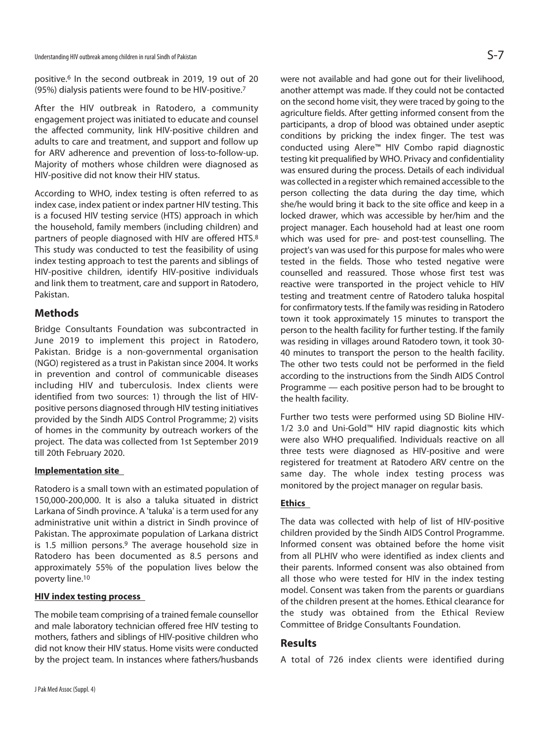positive.6 In the second outbreak in 2019, 19 out of 20 (95%) dialysis patients were found to be HIV-positive.7

After the HIV outbreak in Ratodero, a community engagement project was initiated to educate and counsel the affected community, link HIV-positive children and adults to care and treatment, and support and follow up for ARV adherence and prevention of loss-to-follow-up. Majority of mothers whose children were diagnosed as HIV-positive did not know their HIV status.

According to WHO, index testing is often referred to as index case, index patient or index partner HIV testing. This is a focused HIV testing service (HTS) approach in which the household, family members (including children) and partners of people diagnosed with HIV are offered HTS.8 This study was conducted to test the feasibility of using index testing approach to test the parents and siblings of HIV-positive children, identify HIV-positive individuals and link them to treatment, care and support in Ratodero, Pakistan.

# **Methods**

Bridge Consultants Foundation was subcontracted in June 2019 to implement this project in Ratodero, Pakistan. Bridge is a non-governmental organisation (NGO) registered as a trust in Pakistan since 2004. It works in prevention and control of communicable diseases including HIV and tuberculosis. Index clients were identified from two sources: 1) through the list of HIVpositive persons diagnosed through HIV testing initiatives provided by the Sindh AIDS Control Programme; 2) visits of homes in the community by outreach workers of the project. The data was collected from 1st September 2019 till 20th February 2020.

#### **Implementation site**

Ratodero is a small town with an estimated population of 150,000-200,000. It is also a taluka situated in district Larkana of Sindh province. A 'taluka' is a term used for any administrative unit within a district in Sindh province of Pakistan. The approximate population of Larkana district is 1.5 million persons.<sup>9</sup> The average household size in Ratodero has been documented as 8.5 persons and approximately 55% of the population lives below the poverty line.10

#### **HIV index testing process**

The mobile team comprising of a trained female counsellor and male laboratory technician offered free HIV testing to mothers, fathers and siblings of HIV-positive children who did not know their HIV status. Home visits were conducted by the project team. In instances where fathers/husbands

were not available and had gone out for their livelihood, another attempt was made. If they could not be contacted on the second home visit, they were traced by going to the agriculture fields. After getting informed consent from the participants, a drop of blood was obtained under aseptic conditions by pricking the index finger. The test was conducted using Alere™ HIV Combo rapid diagnostic testing kit prequalified by WHO. Privacy and confidentiality was ensured during the process. Details of each individual was collected in a register which remained accessible to the person collecting the data during the day time, which she/he would bring it back to the site office and keep in a locked drawer, which was accessible by her/him and the project manager. Each household had at least one room which was used for pre- and post-test counselling. The project's van was used for this purpose for males who were tested in the fields. Those who tested negative were counselled and reassured. Those whose first test was reactive were transported in the project vehicle to HIV testing and treatment centre of Ratodero taluka hospital for confirmatory tests. If the family was residing in Ratodero town it took approximately 15 minutes to transport the person to the health facility for further testing. If the family was residing in villages around Ratodero town, it took 30- 40 minutes to transport the person to the health facility. The other two tests could not be performed in the field according to the instructions from the Sindh AIDS Control Programme — each positive person had to be brought to the health facility.

Further two tests were performed using SD Bioline HIV-1/2 3.0 and Uni-Gold™ HIV rapid diagnostic kits which were also WHO prequalified. Individuals reactive on all three tests were diagnosed as HIV-positive and were registered for treatment at Ratodero ARV centre on the same day. The whole index testing process was monitored by the project manager on regular basis.

# **Ethics**

The data was collected with help of list of HIV-positive children provided by the Sindh AIDS Control Programme. Informed consent was obtained before the home visit from all PLHIV who were identified as index clients and their parents. Informed consent was also obtained from all those who were tested for HIV in the index testing model. Consent was taken from the parents or guardians of the children present at the homes. Ethical clearance for the study was obtained from the Ethical Review Committee of Bridge Consultants Foundation.

# **Results**

A total of 726 index clients were identified during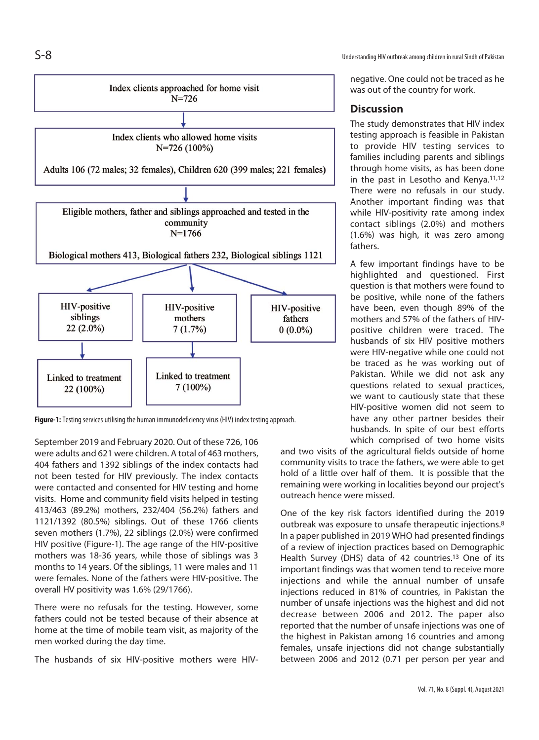S-8 Understanding HIV outbreak among children in rural Sindh of Pakistan



**Figure-1:** Testing services utilising the human immunodeficiency virus (HIV) index testing approach.

September 2019 and February 2020. Out of these 726, 106 were adults and 621 were children. A total of 463 mothers, 404 fathers and 1392 siblings of the index contacts had not been tested for HIV previously. The index contacts were contacted and consented for HIV testing and home visits. Home and community field visits helped in testing 413/463 (89.2%) mothers, 232/404 (56.2%) fathers and 1121/1392 (80.5%) siblings. Out of these 1766 clients seven mothers (1.7%), 22 siblings (2.0%) were confirmed HIV positive (Figure-1). The age range of the HIV-positive mothers was 18-36 years, while those of siblings was 3 months to 14 years. Of the siblings, 11 were males and 11 were females. None of the fathers were HIV-positive. The overall HV positivity was 1.6% (29/1766).

There were no refusals for the testing. However, some fathers could not be tested because of their absence at home at the time of mobile team visit, as majority of the men worked during the day time.

The husbands of six HIV-positive mothers were HIV-

negative. One could not be traced as he was out of the country for work.

#### **Discussion**

The study demonstrates that HIV index testing approach is feasible in Pakistan to provide HIV testing services to families including parents and siblings through home visits, as has been done in the past in Lesotho and Kenya.11,12 There were no refusals in our study. Another important finding was that while HIV-positivity rate among index contact siblings (2.0%) and mothers (1.6%) was high, it was zero among fathers.

A few important findings have to be highlighted and questioned. First question is that mothers were found to be positive, while none of the fathers have been, even though 89% of the mothers and 57% of the fathers of HIVpositive children were traced. The husbands of six HIV positive mothers were HIV-negative while one could not be traced as he was working out of Pakistan. While we did not ask any questions related to sexual practices, we want to cautiously state that these HIV-positive women did not seem to have any other partner besides their husbands. In spite of our best efforts which comprised of two home visits

and two visits of the agricultural fields outside of home community visits to trace the fathers, we were able to get hold of a little over half of them. It is possible that the remaining were working in localities beyond our project's outreach hence were missed.

One of the key risk factors identified during the 2019 outbreak was exposure to unsafe therapeutic injections.8 In a paper published in 2019 WHO had presented findings of a review of injection practices based on Demographic Health Survey (DHS) data of 42 countries.13 One of its important findings was that women tend to receive more injections and while the annual number of unsafe injections reduced in 81% of countries, in Pakistan the number of unsafe injections was the highest and did not decrease between 2006 and 2012. The paper also reported that the number of unsafe injections was one of the highest in Pakistan among 16 countries and among females, unsafe injections did not change substantially between 2006 and 2012 (0.71 per person per year and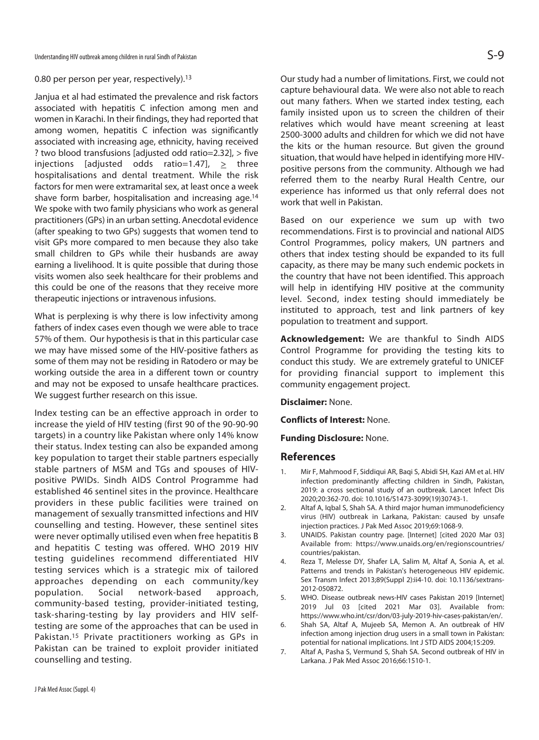#### 0.80 per person per year, respectively).<sup>13</sup>

Janjua et al had estimated the prevalence and risk factors associated with hepatitis C infection among men and women in Karachi. In their findings, they had reported that among women, hepatitis C infection was significantly associated with increasing age, ethnicity, having received ? two blood transfusions [adjusted odd ratio=2.32], > five injections [adjusted odds ratio=1.47],  $\geq$  three hospitalisations and dental treatment. While the risk factors for men were extramarital sex, at least once a week shave form barber, hospitalisation and increasing age.14 We spoke with two family physicians who work as general practitioners (GPs) in an urban setting. Anecdotal evidence (after speaking to two GPs) suggests that women tend to visit GPs more compared to men because they also take small children to GPs while their husbands are away earning a livelihood. It is quite possible that during those visits women also seek healthcare for their problems and this could be one of the reasons that they receive more therapeutic injections or intravenous infusions.

What is perplexing is why there is low infectivity among fathers of index cases even though we were able to trace 57% of them. Our hypothesis is that in this particular case we may have missed some of the HIV-positive fathers as some of them may not be residing in Ratodero or may be working outside the area in a different town or country and may not be exposed to unsafe healthcare practices. We suggest further research on this issue.

Index testing can be an effective approach in order to increase the yield of HIV testing (first 90 of the 90-90-90 targets) in a country like Pakistan where only 14% know their status. Index testing can also be expanded among key population to target their stable partners especially stable partners of MSM and TGs and spouses of HIVpositive PWIDs. Sindh AIDS Control Programme had established 46 sentinel sites in the province. Healthcare providers in these public facilities were trained on management of sexually transmitted infections and HIV counselling and testing. However, these sentinel sites were never optimally utilised even when free hepatitis B and hepatitis C testing was offered. WHO 2019 HIV testing guidelines recommend differentiated HIV testing services which is a strategic mix of tailored approaches depending on each community/key population. Social network-based approach, community-based testing, provider-initiated testing, task-sharing-testing by lay providers and HIV selftesting are some of the approaches that can be used in Pakistan.<sup>15</sup> Private practitioners working as GPs in Pakistan can be trained to exploit provider initiated counselling and testing.

Our study had a number of limitations. First, we could not capture behavioural data. We were also not able to reach out many fathers. When we started index testing, each family insisted upon us to screen the children of their relatives which would have meant screening at least 2500-3000 adults and children for which we did not have the kits or the human resource. But given the ground situation, that would have helped in identifying more HIVpositive persons from the community. Although we had referred them to the nearby Rural Health Centre, our experience has informed us that only referral does not work that well in Pakistan.

Based on our experience we sum up with two recommendations. First is to provincial and national AIDS Control Programmes, policy makers, UN partners and others that index testing should be expanded to its full capacity, as there may be many such endemic pockets in the country that have not been identified. This approach will help in identifying HIV positive at the community level. Second, index testing should immediately be instituted to approach, test and link partners of key population to treatment and support.

**Acknowledgement:** We are thankful to Sindh AIDS Control Programme for providing the testing kits to conduct this study. We are extremely grateful to UNICEF for providing financial support to implement this community engagement project.

**Disclaimer:** None.

**Conflicts of Interest:** None.

**Funding Disclosure:** None.

#### **References**

- 1. Mir F, Mahmood F, Siddiqui AR, Baqi S, Abidi SH, Kazi AM et al. HIV infection predominantly affecting children in Sindh, Pakistan, 2019: a cross sectional study of an outbreak. Lancet Infect Dis 2020;20:362-70. doi: 10.1016/S1473-3099(19)30743-1.
- 2. Altaf A, Iqbal S, Shah SA. A third major human immunodeficiency virus (HIV) outbreak in Larkana, Pakistan: caused by unsafe injection practices. J Pak Med Assoc 2019;69:1068-9.
- 3. UNAIDS. Pakistan country page. [Internet] [cited 2020 Mar 03] Available from: https://www.unaids.org/en/regionscountries/ countries/pakistan.
- 4. Reza T, Melesse DY, Shafer LA, Salim M, Altaf A, Sonia A, et al. Patterns and trends in Pakistan's heterogeneous HIV epidemic. Sex Transm Infect 2013;89(Suppl 2):ii4-10. doi: 10.1136/sextrans-2012-050872.
- 5. WHO. Disease outbreak news-HIV cases Pakistan 2019 [Internet] 2019 Jul 03 [cited 2021 Mar 03]. Available from: https://www.who.int/csr/don/03-july-2019-hiv-cases-pakistan/en/.
- 6. Shah SA, Altaf A, Mujeeb SA, Memon A. An outbreak of HIV infection among injection drug users in a small town in Pakistan: potential for national implications. Int J STD AIDS 2004;15:209.
- 7. Altaf A, Pasha S, Vermund S, Shah SA. Second outbreak of HIV in Larkana. J Pak Med Assoc 2016;66:1510-1.